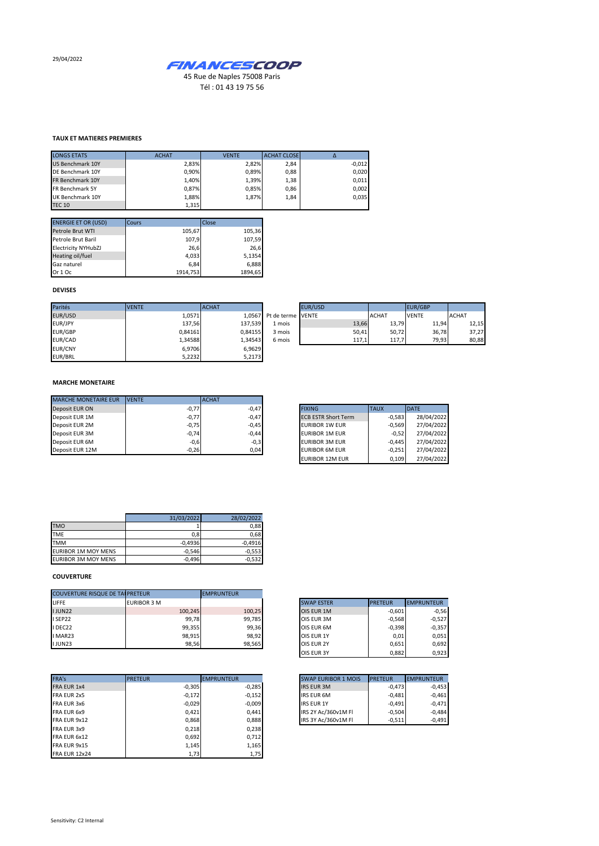29/04/2022



Tél : 01 43 19 75 56

## **TAUX ET MATIERES PREMIERES**

| <b>LONGS ETATS</b>     | <b>ACHAT</b> | <b>VENTE</b> | <b>ACHAT CLOSE</b> |          |
|------------------------|--------------|--------------|--------------------|----------|
| US Benchmark 10Y       | 2,83%        | 2.82%        | 2,84               | $-0,012$ |
| DE Benchmark 10Y       | 0.90%        | 0.89%        | 0,88               | 0,020    |
| FR Benchmark 10Y       | 1.40%        | 1.39%        | 1,38               | 0,011    |
| <b>FR Benchmark 5Y</b> | 0.87%        | 0.85%        | 0,86               | 0,002    |
| UK Benchmark 10Y       | 1,88%        | 1.87%        | 1,84               | 0,035    |
| <b>TEC 10</b>          | 1,315        |              |                    |          |

| <b>ENERGIE ET OR (USD)</b> | Cours    | Close   |
|----------------------------|----------|---------|
| Petrole Brut WTI           | 105,67   | 105,36  |
| Petrole Brut Baril         | 107,9    | 107,59  |
| <b>Electricity NYHubZJ</b> | 26,6     | 26.6    |
| Heating oil/fuel           | 4,033    | 5,1354  |
| Gaz naturel                | 6.84     | 6,888   |
| Or 1 Oc                    | 1914.753 | 1894.65 |

## **DEVISES**

| Parités        | <b>VENTE</b> | <b>ACHAT</b> |                          | EUR/USD |              | EUR/GBP      |              |
|----------------|--------------|--------------|--------------------------|---------|--------------|--------------|--------------|
| EUR/USD        | 1,0571       |              | 1.0567 Pt de terme VENTE |         | <b>ACHAT</b> | <b>VENTE</b> | <b>ACHAT</b> |
| EUR/JPY        | 137.56       | 137,539      | 1 mois                   | 13,66   | 13,79        | 11,94        | 12,15        |
| EUR/GBP        | 0,84161      | 0.84155      | 3 mois                   | 50,41   | 50,72        | 36,78        | 37,27        |
| EUR/CAD        | 1,34588      | 1,34543      | 6 mois                   | 117,1   | 117,7        | 79,93        | 80,88        |
| <b>EUR/CNY</b> | 6.9706       | 6,9629       |                          |         |              |              |              |
| EUR/BRL        | 5,2232       | 5,2173       |                          |         |              |              |              |

## **MARCHE MONETAIRE**

| <b>MARCHE MONETAIRE EUR</b> | <b>IVENTE</b> | <b>ACHAT</b> |                            |             |
|-----------------------------|---------------|--------------|----------------------------|-------------|
| Deposit EUR ON              | $-0,77$       | $-0,47$      | <b>FIXING</b>              | <b>TAUX</b> |
| Deposit EUR 1M              | $-0,77$       | $-0,47$      | <b>ECB ESTR Short Term</b> |             |
| Deposit EUR 2M              | $-0,75$       | $-0,45$      | <b>EURIBOR 1W EUR</b>      |             |
| Deposit EUR 3M              | $-0,74$       | $-0.44$      | EURIBOR 1M EUR             |             |
| Deposit EUR 6M              | $-0,6$        | $-0,3$       | EURIBOR 3M EUR             |             |
| Deposit EUR 12M             | $-0,26$       | 0,04         | EURIBOR 6M EUR             |             |

| <b>FIXING</b>              | <b>TAUX</b> | <b>DATE</b> |
|----------------------------|-------------|-------------|
| <b>ECB ESTR Short Term</b> | $-0.583$    | 28/04/2022  |
| <b>EURIBOR 1W EUR</b>      | $-0.569$    | 27/04/2022  |
| <b>EURIBOR 1M EUR</b>      | $-0.52$     | 27/04/2022  |
| <b>EURIBOR 3M EUR</b>      | $-0.445$    | 27/04/2022  |
| <b>EURIBOR 6M EUR</b>      | $-0.251$    | 27/04/2022  |
| <b>EURIBOR 12M EUR</b>     | 0.109       | 27/04/2022  |

|                            | 31/03/2022 | 28/02/2022 |
|----------------------------|------------|------------|
| <b>TMO</b>                 |            | 0.88       |
| <b>TME</b>                 | 0.8        | 0.68       |
| <b>TMM</b>                 | $-0.4936$  | $-0.4916$  |
| <b>EURIBOR 1M MOY MENS</b> | $-0,546$   | $-0.553$   |
| <b>EURIBOR 3M MOY MENS</b> | $-0,496$   | $-0.532$   |

## **COUVERTURE**

| <b>COUVERTURE RISQUE DE TAI PRETEUR</b> |                    | <b>EMPRUNTEUR</b> |                   |                                     |
|-----------------------------------------|--------------------|-------------------|-------------------|-------------------------------------|
| <b>LIFFE</b>                            | <b>EURIBOR 3 M</b> |                   | <b>SWAP ESTER</b> | <b>PRETEUR</b><br><b>EMPRUNTEUR</b> |
| <b>IJUN22</b>                           | 100,245            | 100,25            | OIS EUR 1M        | $-0.601$                            |
| <b>I SEP22</b>                          | 99,78              | 99,785            | OIS EUR 3M        | $-0.568$                            |
| I DEC22                                 | 99,355             | 99,36             | OIS EUR 6M        | $-0,398$                            |
| I MAR23                                 | 98,915             | 98,92             | <b>OIS EUR 1Y</b> | 0,01                                |
| <b>IJUN23</b>                           | 98,56              | 98,565            | <b>OIS EUR 2Y</b> | 0,651                               |

| FRA's<br><b>PRETEUR</b><br><b>EMPRUNTEUR</b><br><b>PRETEUR</b><br><b>SWAP EURIBOR 1 MOIS</b><br>$-0,305$<br>$-0,285$<br><b>IRS EUR 3M</b><br>$-0,172$<br>$-0,152$<br><b>IRS EUR 6M</b><br>$-0,029$<br>$-0,009$<br><b>IRS EUR 1Y</b><br>IRS 2Y Ac/360v1M FI<br>0.421<br>0.441<br>IRS 3Y Ac/360v1M FI<br>0,868<br>0.888<br>0,218<br>0,238<br>0,692<br>0,712<br>1,145<br>1,165<br>1,73<br>1,75 |                      |  |  |                   |
|---------------------------------------------------------------------------------------------------------------------------------------------------------------------------------------------------------------------------------------------------------------------------------------------------------------------------------------------------------------------------------------------|----------------------|--|--|-------------------|
|                                                                                                                                                                                                                                                                                                                                                                                             |                      |  |  | <b>EMPRUNTEUR</b> |
|                                                                                                                                                                                                                                                                                                                                                                                             | FRA EUR 1x4          |  |  | $-0,473$          |
|                                                                                                                                                                                                                                                                                                                                                                                             | FRA EUR 2x5          |  |  | $-0,481$          |
|                                                                                                                                                                                                                                                                                                                                                                                             | FRA EUR 3x6          |  |  | $-0.491$          |
|                                                                                                                                                                                                                                                                                                                                                                                             | FRA EUR 6x9          |  |  | $-0.504$          |
|                                                                                                                                                                                                                                                                                                                                                                                             | FRA EUR 9x12         |  |  | $-0,511$          |
|                                                                                                                                                                                                                                                                                                                                                                                             | FRA EUR 3x9          |  |  |                   |
|                                                                                                                                                                                                                                                                                                                                                                                             | FRA EUR 6x12         |  |  |                   |
|                                                                                                                                                                                                                                                                                                                                                                                             | FRA EUR 9x15         |  |  |                   |
|                                                                                                                                                                                                                                                                                                                                                                                             | <b>FRA EUR 12x24</b> |  |  |                   |

| <b>SWAP ESTER</b> | <b>PRETEUR</b> | <b>EMPRUNTEUR</b> |
|-------------------|----------------|-------------------|
| OIS EUR 1M        | $-0.601$       | $-0,56$           |
| OIS EUR 3M        | $-0,568$       | $-0,527$          |
| OIS EUR 6M        | $-0,398$       | $-0,357$          |
| OIS EUR 1Y        | 0,01           | 0,051             |
| OIS EUR 2Y        | 0,651          | 0,692             |
| OIS EUR 3Y        | 0,882          | 0,923             |

| <b>SWAP EURIBOR 1 MOIS</b> | <b>PRETEUR</b> | <b>EMPRUNTEUR</b> |
|----------------------------|----------------|-------------------|
| <b>IRS EUR 3M</b>          | $-0.473$       | $-0,453$          |
| <b>IRS EUR 6M</b>          | $-0,481$       | $-0,461$          |
| <b>IRS EUR 1Y</b>          | $-0.491$       | $-0,471$          |
| IRS 2Y Ac/360v1M Fl        | $-0.504$       | $-0.484$          |
| IRS 3Y Ac/360v1M FI        | $-0.511$       | $-0.491$          |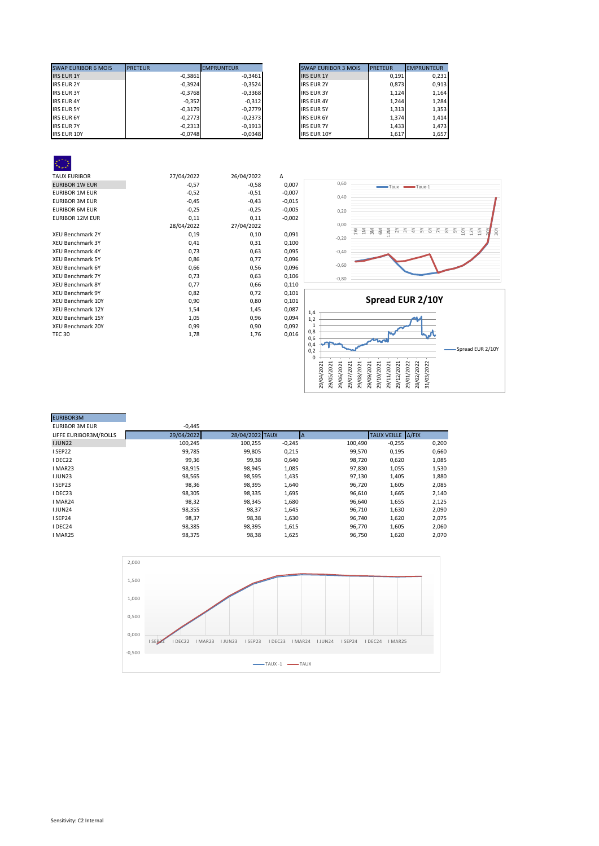| <b>SWAP EURIBOR 6 MOIS</b> | <b>PRETEUR</b> | <b>EMPRUNTEUR</b> | <b>SWAP EURIBOR 3 MOIS</b> | <b>PRETEUR</b> | <b>EMPRUNTEUR</b> |
|----------------------------|----------------|-------------------|----------------------------|----------------|-------------------|
| <b>IRS EUR 1Y</b>          | $-0.3861$      | $-0.3461$         | <b>IRS EUR 1Y</b>          | 0,191          | 0,231             |
| <b>IRS EUR 2Y</b>          | $-0,3924$      | $-0,3524$         | <b>IRS EUR 2Y</b>          | 0.873          | 0,913             |
| <b>IRS EUR 3Y</b>          | $-0,3768$      | $-0,3368$         | <b>IRS EUR 3Y</b>          | 1.124          | 1,164             |
| <b>IRS EUR 4Y</b>          | $-0,352$       | $-0,312$          | <b>IRS EUR 4Y</b>          | 1.244          | 1,284             |
| <b>IRS EUR 5Y</b>          | $-0,3179$      | $-0.2779$         | <b>IRS EUR 5Y</b>          | 1,313          | 1,353             |
| <b>IRS EUR 6Y</b>          | $-0,2773$      | $-0.2373$         | <b>IRS EUR 6Y</b>          | 1,374          | 1,414             |
| <b>IRS EUR 7Y</b>          | $-0.2313$      | $-0.1913$         | <b>IRS EUR 7Y</b>          | 1,433          | 1,473             |
| <b>IRS EUR 10Y</b>         | $-0,0748$      | $-0,0348$         | <b>IRS EUR 10Y</b>         | 1,617          | 1,657             |

| <b>SWAP EURIBOR 3 MOIS</b> | <b>PRETEUR</b> | <b>EMPRUNTEUR</b> |
|----------------------------|----------------|-------------------|
| <b>IRS EUR 1Y</b>          | 0,191          | 0,231             |
| <b>IRS EUR 2Y</b>          | 0,873          | 0,913             |
| <b>IRS EUR 3Y</b>          | 1,124          | 1,164             |
| <b>IRS EUR 4Y</b>          | 1,244          | 1,284             |
| <b>IRS EUR 5Y</b>          | 1,313          | 1,353             |
| <b>IRS EUR 6Y</b>          | 1,374          | 1.414             |
| <b>IRS EUR 7Y</b>          | 1,433          | 1,473             |
| <b>IRS EUR 10Y</b>         | 1,617          | 1,657             |

| <b>TAUX EURIBOR</b>      | 27/04/2022 | 26/04/2022 | Δ        |
|--------------------------|------------|------------|----------|
| <b>EURIBOR 1W EUR</b>    | $-0,57$    | $-0,58$    | 0,007    |
| <b>EURIBOR 1M EUR</b>    | $-0,52$    | $-0,51$    | $-0,007$ |
| <b>EURIBOR 3M EUR</b>    | $-0,45$    | $-0,43$    | $-0,015$ |
| <b>EURIBOR 6M EUR</b>    | $-0,25$    | $-0,25$    | $-0,005$ |
| <b>EURIBOR 12M EUR</b>   | 0,11       | 0,11       | $-0,002$ |
|                          | 28/04/2022 | 27/04/2022 |          |
| <b>XEU Benchmark 2Y</b>  | 0,19       | 0,10       | 0,091    |
| <b>XEU Benchmark 3Y</b>  | 0,41       | 0,31       | 0,100    |
| <b>XEU Benchmark 4Y</b>  | 0,73       | 0,63       | 0,095    |
| <b>XEU Benchmark 5Y</b>  | 0,86       | 0,77       | 0,096    |
| <b>XEU Benchmark 6Y</b>  | 0,66       | 0,56       | 0,096    |
| <b>XEU Benchmark 7Y</b>  | 0,73       | 0,63       | 0,106    |
| <b>XEU Benchmark 8Y</b>  | 0,77       | 0,66       | 0,110    |
| <b>XEU Benchmark 9Y</b>  | 0,82       | 0,72       | 0,101    |
| <b>XEU Benchmark 10Y</b> | 0,90       | 0,80       | 0,101    |
| <b>XEU Benchmark 12Y</b> | 1,54       | 1,45       | 0,087    |
| <b>XEU Benchmark 15Y</b> | 1,05       | 0,96       | 0,094    |
| XEU Benchmark 20Y        | 0,99       | 0,90       | 0,092    |
| <b>TEC 30</b>            | 1,78       | 1,76       | 0,016    |
|                          |            |            |          |





| <b>EURIBOR3M</b>      |            |                 |          |         |                   |       |
|-----------------------|------------|-----------------|----------|---------|-------------------|-------|
| <b>EURIBOR 3M EUR</b> | $-0,445$   |                 |          |         |                   |       |
| LIFFE EURIBOR3M/ROLLS | 29/04/2022 | 28/04/2022 TAUX | IΔ       |         | TAUX VEILLE A/FIX |       |
| <b>IJUN22</b>         | 100,245    | 100,255         | $-0,245$ | 100,490 | $-0,255$          | 0,200 |
| ISEP22                | 99,785     | 99,805          | 0,215    | 99,570  | 0,195             | 0,660 |
| I DEC22               | 99,36      | 99,38           | 0,640    | 98,720  | 0,620             | 1,085 |
| I MAR23               | 98,915     | 98,945          | 1,085    | 97,830  | 1,055             | 1,530 |
| <b>IJUN23</b>         | 98,565     | 98,595          | 1,435    | 97,130  | 1,405             | 1,880 |
| I SEP23               | 98,36      | 98,395          | 1,640    | 96,720  | 1,605             | 2,085 |
| I DEC23               | 98,305     | 98,335          | 1,695    | 96,610  | 1,665             | 2,140 |
| I MAR24               | 98,32      | 98,345          | 1,680    | 96,640  | 1,655             | 2,125 |
| <b>IJUN24</b>         | 98,355     | 98,37           | 1,645    | 96,710  | 1,630             | 2,090 |
| ISEP24                | 98.37      | 98,38           | 1,630    | 96,740  | 1,620             | 2,075 |
| I DEC24               | 98,385     | 98,395          | 1,615    | 96,770  | 1,605             | 2,060 |
| I MAR25               | 98,375     | 98,38           | 1,625    | 96,750  | 1,620             | 2,070 |
|                       |            |                 |          |         |                   |       |